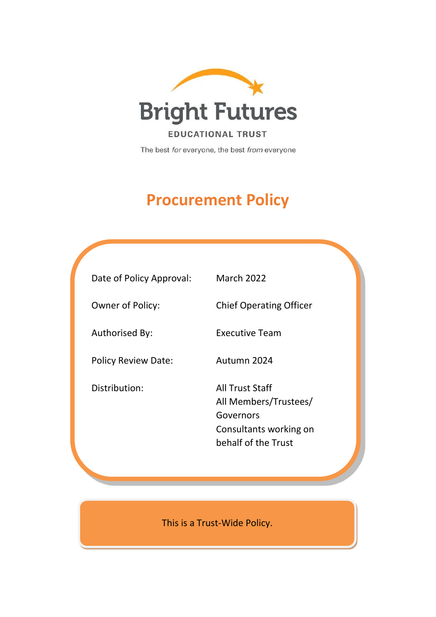

The best for everyone, the best from everyone

# **Procurement Policy**

| Date of Policy Approval:   | <b>March 2022</b>                                                                                             |
|----------------------------|---------------------------------------------------------------------------------------------------------------|
| <b>Owner of Policy:</b>    | <b>Chief Operating Officer</b>                                                                                |
| Authorised By:             | Executive Team                                                                                                |
| <b>Policy Review Date:</b> | Autumn 2024                                                                                                   |
| Distribution:              | <b>All Trust Staff</b><br>All Members/Trustees/<br>Governors<br>Consultants working on<br>behalf of the Trust |

This is a Trust-Wide Policy.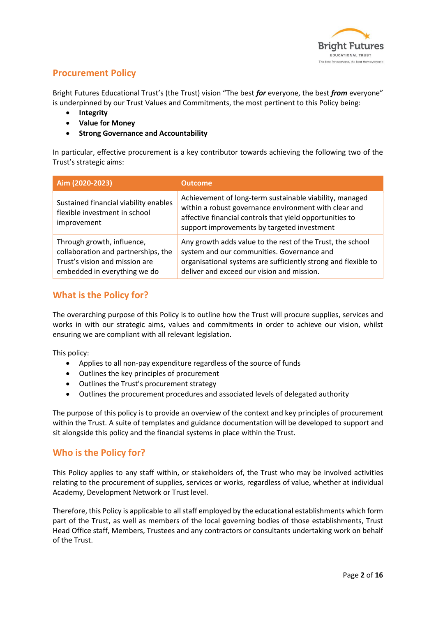

# **Procurement Policy**

Bright Futures Educational Trust's (the Trust) vision "The best *for* everyone, the best *from* everyone" is underpinned by our Trust Values and Commitments, the most pertinent to this Policy being:

- **Integrity**
- **Value for Money**
- **Strong Governance and Accountability**

In particular, effective procurement is a key contributor towards achieving the following two of the Trust's strategic aims:

| Aim (2020-2023)                                                                                                                     | <b>Outcome</b>                                                                                                                                                                                                              |
|-------------------------------------------------------------------------------------------------------------------------------------|-----------------------------------------------------------------------------------------------------------------------------------------------------------------------------------------------------------------------------|
| Sustained financial viability enables<br>flexible investment in school<br>improvement                                               | Achievement of long-term sustainable viability, managed<br>within a robust governance environment with clear and<br>affective financial controls that yield opportunities to<br>support improvements by targeted investment |
| Through growth, influence,<br>collaboration and partnerships, the<br>Trust's vision and mission are<br>embedded in everything we do | Any growth adds value to the rest of the Trust, the school<br>system and our communities. Governance and<br>organisational systems are sufficiently strong and flexible to<br>deliver and exceed our vision and mission.    |

# **What is the Policy for?**

The overarching purpose of this Policy is to outline how the Trust will procure supplies, services and works in with our strategic aims, values and commitments in order to achieve our vision, whilst ensuring we are compliant with all relevant legislation.

This policy:

- Applies to all non-pay expenditure regardless of the source of funds
- Outlines the key principles of procurement
- Outlines the Trust's procurement strategy
- Outlines the procurement procedures and associated levels of delegated authority

The purpose of this policy is to provide an overview of the context and key principles of procurement within the Trust. A suite of templates and guidance documentation will be developed to support and sit alongside this policy and the financial systems in place within the Trust.

# **Who is the Policy for?**

This Policy applies to any staff within, or stakeholders of, the Trust who may be involved activities relating to the procurement of supplies, services or works, regardless of value, whether at individual Academy, Development Network or Trust level.

Therefore, this Policy is applicable to all staff employed by the educational establishments which form part of the Trust, as well as members of the local governing bodies of those establishments, Trust Head Office staff, Members, Trustees and any contractors or consultants undertaking work on behalf of the Trust.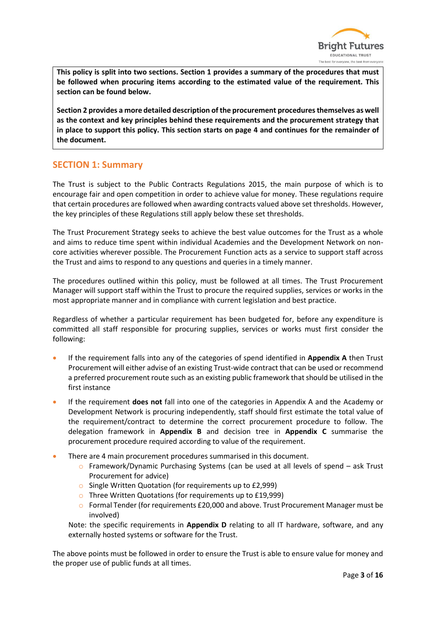

**This policy is split into two sections. Section 1 provides a summary of the procedures that must be followed when procuring items according to the estimated value of the requirement. This section can be found below.**

**Section 2 provides a more detailed description of the procurement procedures themselves as well as the context and key principles behind these requirements and the procurement strategy that in place to support this policy. This section starts on page 4 and continues for the remainder of the document.**

## **SECTION 1: Summary**

The Trust is subject to the Public Contracts Regulations 2015, the main purpose of which is to encourage fair and open competition in order to achieve value for money. These regulations require that certain procedures are followed when awarding contracts valued above set thresholds. However, the key principles of these Regulations still apply below these set thresholds.

The Trust Procurement Strategy seeks to achieve the best value outcomes for the Trust as a whole and aims to reduce time spent within individual Academies and the Development Network on noncore activities wherever possible. The Procurement Function acts as a service to support staff across the Trust and aims to respond to any questions and queries in a timely manner.

The procedures outlined within this policy, must be followed at all times. The Trust Procurement Manager will support staff within the Trust to procure the required supplies, services or works in the most appropriate manner and in compliance with current legislation and best practice.

Regardless of whether a particular requirement has been budgeted for, before any expenditure is committed all staff responsible for procuring supplies, services or works must first consider the following:

- If the requirement falls into any of the categories of spend identified in **Appendix A** then Trust Procurement will either advise of an existing Trust-wide contract that can be used or recommend a preferred procurement route such as an existing public framework that should be utilised in the first instance
- If the requirement **does not** fall into one of the categories in Appendix A and the Academy or Development Network is procuring independently, staff should first estimate the total value of the requirement/contract to determine the correct procurement procedure to follow. The delegation framework in **Appendix B** and decision tree in **Appendix C** summarise the procurement procedure required according to value of the requirement.
- There are 4 main procurement procedures summarised in this document.
	- $\circ$  Framework/Dynamic Purchasing Systems (can be used at all levels of spend ask Trust Procurement for advice)
	- o Single Written Quotation (for requirements up to £2,999)
	- o Three Written Quotations (for requirements up to £19,999)
	- $\circ$  Formal Tender (for requirements £20,000 and above. Trust Procurement Manager must be involved)

Note: the specific requirements in **Appendix D** relating to all IT hardware, software, and any externally hosted systems or software for the Trust.

The above points must be followed in order to ensure the Trust is able to ensure value for money and the proper use of public funds at all times.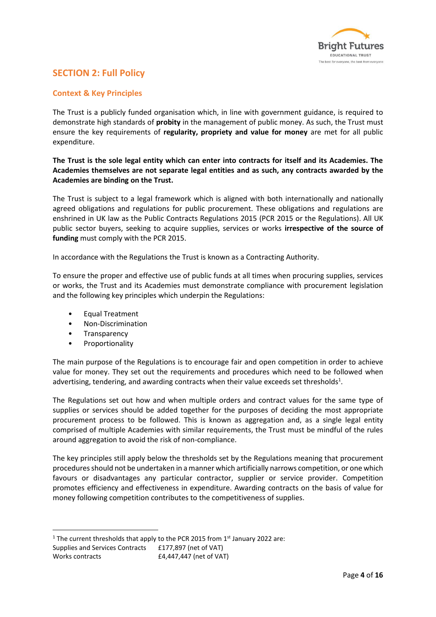

# **SECTION 2: Full Policy**

#### **Context & Key Principles**

The Trust is a publicly funded organisation which, in line with government guidance, is required to demonstrate high standards of **probity** in the management of public money. As such, the Trust must ensure the key requirements of **regularity, propriety and value for money** are met for all public expenditure.

#### **The Trust is the sole legal entity which can enter into contracts for itself and its Academies. The Academies themselves are not separate legal entities and as such, any contracts awarded by the Academies are binding on the Trust.**

The Trust is subject to a legal framework which is aligned with both internationally and nationally agreed obligations and regulations for public procurement. These obligations and regulations are enshrined in UK law as the Public Contracts Regulations 2015 (PCR 2015 or the Regulations). All UK public sector buyers, seeking to acquire supplies, services or works **irrespective of the source of funding** must comply with the PCR 2015.

In accordance with the Regulations the Trust is known as a Contracting Authority.

To ensure the proper and effective use of public funds at all times when procuring supplies, services or works, the Trust and its Academies must demonstrate compliance with procurement legislation and the following key principles which underpin the Regulations:

- Equal Treatment
- Non-Discrimination
- Transparency
- **Proportionality**

The main purpose of the Regulations is to encourage fair and open competition in order to achieve value for money. They set out the requirements and procedures which need to be followed when advertising, tendering, and awarding contracts when their value exceeds set thresholds<sup>1</sup>.

The Regulations set out how and when multiple orders and contract values for the same type of supplies or services should be added together for the purposes of deciding the most appropriate procurement process to be followed. This is known as aggregation and, as a single legal entity comprised of multiple Academies with similar requirements, the Trust must be mindful of the rules around aggregation to avoid the risk of non-compliance.

The key principles still apply below the thresholds set by the Regulations meaning that procurement procedures should not be undertaken in a manner which artificially narrows competition, or one which favours or disadvantages any particular contractor, supplier or service provider. Competition promotes efficiency and effectiveness in expenditure. Awarding contracts on the basis of value for money following competition contributes to the competitiveness of supplies.

<sup>1</sup> The current thresholds that apply to the PCR 2015 from  $1<sup>st</sup>$  January 2022 are: Supplies and Services Contracts £177,897 (net of VAT) Works contracts E4,447,447 (net of VAT)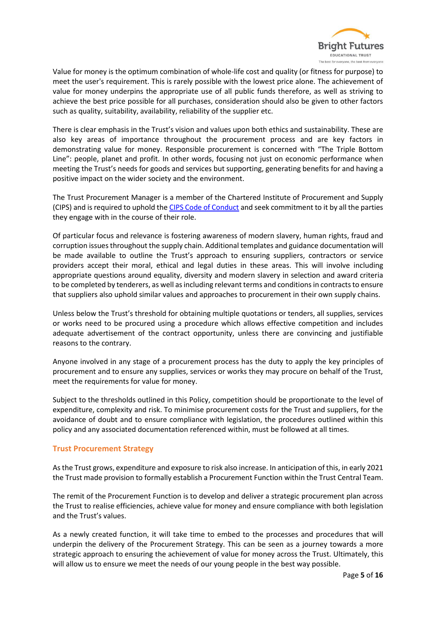

Value for money is the optimum combination of whole-life cost and quality (or fitness for purpose) to meet the user's requirement. This is rarely possible with the lowest price alone. The achievement of value for money underpins the appropriate use of all public funds therefore, as well as striving to achieve the best price possible for all purchases, consideration should also be given to other factors such as quality, suitability, availability, reliability of the supplier etc.

There is clear emphasis in the Trust's vision and values upon both ethics and sustainability. These are also key areas of importance throughout the procurement process and are key factors in demonstrating value for money. Responsible procurement is concerned with "The Triple Bottom Line": people, planet and profit. In other words, focusing not just on economic performance when meeting the Trust's needs for goods and services but supporting, generating benefits for and having a positive impact on the wider society and the environment.

The Trust Procurement Manager is a member of the Chartered Institute of Procurement and Supply (CIPS) and is required to uphold th[e CIPS Code of Conduct](https://www.cips.org/who-we-are/governance/cips-code-of-conduct/) and seek commitment to it by all the parties they engage with in the course of their role.

Of particular focus and relevance is fostering awareness of modern slavery, human rights, fraud and corruption issues throughout the supply chain. Additional templates and guidance documentation will be made available to outline the Trust's approach to ensuring suppliers, contractors or service providers accept their moral, ethical and legal duties in these areas. This will involve including appropriate questions around equality, diversity and modern slavery in selection and award criteria to be completed by tenderers, as well as including relevant terms and conditions in contracts to ensure that suppliers also uphold similar values and approaches to procurement in their own supply chains.

Unless below the Trust's threshold for obtaining multiple quotations or tenders, all supplies, services or works need to be procured using a procedure which allows effective competition and includes adequate advertisement of the contract opportunity, unless there are convincing and justifiable reasons to the contrary.

Anyone involved in any stage of a procurement process has the duty to apply the key principles of procurement and to ensure any supplies, services or works they may procure on behalf of the Trust, meet the requirements for value for money.

Subject to the thresholds outlined in this Policy, competition should be proportionate to the level of expenditure, complexity and risk. To minimise procurement costs for the Trust and suppliers, for the avoidance of doubt and to ensure compliance with legislation, the procedures outlined within this policy and any associated documentation referenced within, must be followed at all times.

#### **Trust Procurement Strategy**

As the Trust grows, expenditure and exposure to risk also increase. In anticipation of this, in early 2021 the Trust made provision to formally establish a Procurement Function within the Trust Central Team.

The remit of the Procurement Function is to develop and deliver a strategic procurement plan across the Trust to realise efficiencies, achieve value for money and ensure compliance with both legislation and the Trust's values.

As a newly created function, it will take time to embed to the processes and procedures that will underpin the delivery of the Procurement Strategy. This can be seen as a journey towards a more strategic approach to ensuring the achievement of value for money across the Trust. Ultimately, this will allow us to ensure we meet the needs of our young people in the best way possible.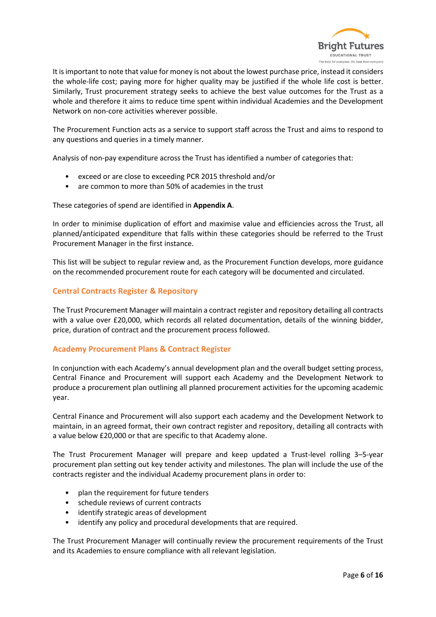

It is important to note that value for money is not about the lowest purchase price, instead it considers the whole-life cost; paying more for higher quality may be justified if the whole life cost is better. Similarly, Trust procurement strategy seeks to achieve the best value outcomes for the Trust as a whole and therefore it aims to reduce time spent within individual Academies and the Development Network on non-core activities wherever possible.

The Procurement Function acts as a service to support staff across the Trust and aims to respond to any questions and queries in a timely manner.

Analysis of non-pay expenditure across the Trust has identified a number of categories that:

- exceed or are close to exceeding PCR 2015 threshold and/or
- are common to more than 50% of academies in the trust

These categories of spend are identified in **Appendix A**.

In order to minimise duplication of effort and maximise value and efficiencies across the Trust, all planned/anticipated expenditure that falls within these categories should be referred to the Trust Procurement Manager in the first instance.

This list will be subject to regular review and, as the Procurement Function develops, more guidance on the recommended procurement route for each category will be documented and circulated.

#### **Central Contracts Register & Repository**

The Trust Procurement Manager will maintain a contract register and repository detailing all contracts with a value over £20,000, which records all related documentation, details of the winning bidder, price, duration of contract and the procurement process followed.

#### **Academy Procurement Plans & Contract Register**

In conjunction with each Academy's annual development plan and the overall budget setting process, Central Finance and Procurement will support each Academy and the Development Network to produce a procurement plan outlining all planned procurement activities for the upcoming academic year.

Central Finance and Procurement will also support each academy and the Development Network to maintain, in an agreed format, their own contract register and repository, detailing all contracts with a value below £20,000 or that are specific to that Academy alone.

The Trust Procurement Manager will prepare and keep updated a Trust-level rolling 3–5-year procurement plan setting out key tender activity and milestones. The plan will include the use of the contracts register and the individual Academy procurement plans in order to:

- plan the requirement for future tenders
- schedule reviews of current contracts
- identify strategic areas of development
- identify any policy and procedural developments that are required.

The Trust Procurement Manager will continually review the procurement requirements of the Trust and its Academies to ensure compliance with all relevant legislation.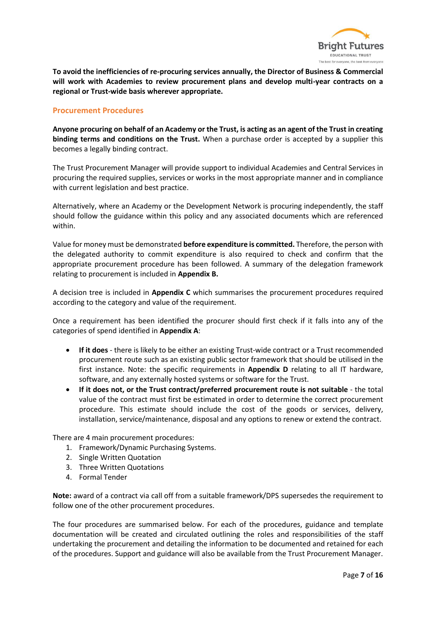

**To avoid the inefficiencies of re-procuring services annually, the Director of Business & Commercial will work with Academies to review procurement plans and develop multi-year contracts on a regional or Trust-wide basis wherever appropriate.** 

#### **Procurement Procedures**

**Anyone procuring on behalf of an Academy or the Trust, is acting as an agent of the Trust in creating binding terms and conditions on the Trust.** When a purchase order is accepted by a supplier this becomes a legally binding contract.

The Trust Procurement Manager will provide support to individual Academies and Central Services in procuring the required supplies, services or works in the most appropriate manner and in compliance with current legislation and best practice.

Alternatively, where an Academy or the Development Network is procuring independently, the staff should follow the guidance within this policy and any associated documents which are referenced within.

Value for money must be demonstrated **before expenditure is committed.** Therefore, the person with the delegated authority to commit expenditure is also required to check and confirm that the appropriate procurement procedure has been followed. A summary of the delegation framework relating to procurement is included in **Appendix B.**

A decision tree is included in **Appendix C** which summarises the procurement procedures required according to the category and value of the requirement.

Once a requirement has been identified the procurer should first check if it falls into any of the categories of spend identified in **Appendix A**:

- **If it does** there is likely to be either an existing Trust-wide contract or a Trust recommended procurement route such as an existing public sector framework that should be utilised in the first instance. Note: the specific requirements in **Appendix D** relating to all IT hardware, software, and any externally hosted systems or software for the Trust.
- **If it does not, or the Trust contract/preferred procurement route is not suitable** the total value of the contract must first be estimated in order to determine the correct procurement procedure. This estimate should include the cost of the goods or services, delivery, installation, service/maintenance, disposal and any options to renew or extend the contract.

There are 4 main procurement procedures:

- 1. Framework/Dynamic Purchasing Systems.
- 2. Single Written Quotation
- 3. Three Written Quotations
- 4. Formal Tender

**Note:** award of a contract via call off from a suitable framework/DPS supersedes the requirement to follow one of the other procurement procedures.

The four procedures are summarised below. For each of the procedures, guidance and template documentation will be created and circulated outlining the roles and responsibilities of the staff undertaking the procurement and detailing the information to be documented and retained for each of the procedures. Support and guidance will also be available from the Trust Procurement Manager.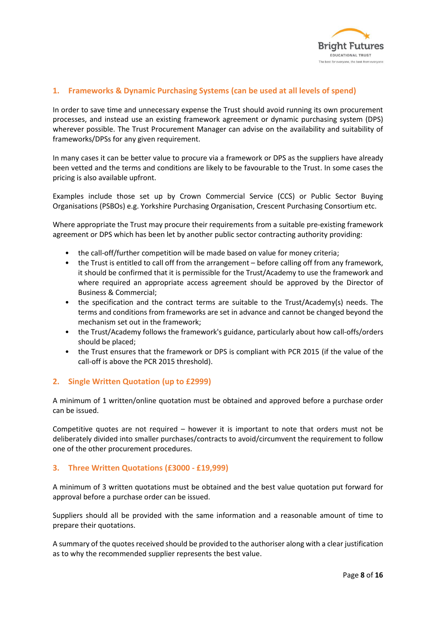

#### **1. Frameworks & Dynamic Purchasing Systems (can be used at all levels of spend)**

In order to save time and unnecessary expense the Trust should avoid running its own procurement processes, and instead use an existing framework agreement or dynamic purchasing system (DPS) wherever possible. The Trust Procurement Manager can advise on the availability and suitability of frameworks/DPSs for any given requirement.

In many cases it can be better value to procure via a framework or DPS as the suppliers have already been vetted and the terms and conditions are likely to be favourable to the Trust. In some cases the pricing is also available upfront.

Examples include those set up by Crown Commercial Service (CCS) or Public Sector Buying Organisations (PSBOs) e.g. Yorkshire Purchasing Organisation, Crescent Purchasing Consortium etc.

Where appropriate the Trust may procure their requirements from a suitable pre-existing framework agreement or DPS which has been let by another public sector contracting authority providing:

- the call-off/further competition will be made based on value for money criteria;
- the Trust is entitled to call off from the arrangement before calling off from any framework, it should be confirmed that it is permissible for the Trust/Academy to use the framework and where required an appropriate access agreement should be approved by the Director of Business & Commercial;
- the specification and the contract terms are suitable to the Trust/Academy(s) needs. The terms and conditions from frameworks are set in advance and cannot be changed beyond the mechanism set out in the framework;
- the Trust/Academy follows the framework's guidance, particularly about how call-offs/orders should be placed;
- the Trust ensures that the framework or DPS is compliant with PCR 2015 (if the value of the call-off is above the PCR 2015 threshold).

#### **2. Single Written Quotation (up to £2999)**

A minimum of 1 written/online quotation must be obtained and approved before a purchase order can be issued.

Competitive quotes are not required – however it is important to note that orders must not be deliberately divided into smaller purchases/contracts to avoid/circumvent the requirement to follow one of the other procurement procedures.

#### **3. Three Written Quotations (£3000 - £19,999)**

A minimum of 3 written quotations must be obtained and the best value quotation put forward for approval before a purchase order can be issued.

Suppliers should all be provided with the same information and a reasonable amount of time to prepare their quotations.

A summary of the quotes received should be provided to the authoriser along with a clear justification as to why the recommended supplier represents the best value.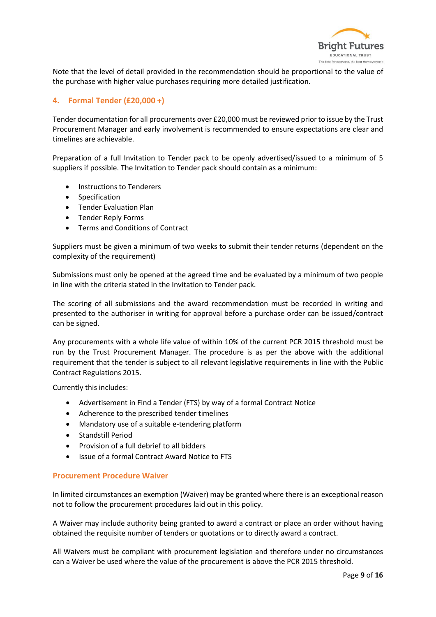

Note that the level of detail provided in the recommendation should be proportional to the value of the purchase with higher value purchases requiring more detailed justification.

### **4. Formal Tender (£20,000 +)**

Tender documentation for all procurements over £20,000 must be reviewed prior to issue by the Trust Procurement Manager and early involvement is recommended to ensure expectations are clear and timelines are achievable.

Preparation of a full Invitation to Tender pack to be openly advertised/issued to a minimum of 5 suppliers if possible. The Invitation to Tender pack should contain as a minimum:

- Instructions to Tenderers
- Specification
- Tender Evaluation Plan
- Tender Reply Forms
- Terms and Conditions of Contract

Suppliers must be given a minimum of two weeks to submit their tender returns (dependent on the complexity of the requirement)

Submissions must only be opened at the agreed time and be evaluated by a minimum of two people in line with the criteria stated in the Invitation to Tender pack.

The scoring of all submissions and the award recommendation must be recorded in writing and presented to the authoriser in writing for approval before a purchase order can be issued/contract can be signed.

Any procurements with a whole life value of within 10% of the current PCR 2015 threshold must be run by the Trust Procurement Manager. The procedure is as per the above with the additional requirement that the tender is subject to all relevant legislative requirements in line with the Public Contract Regulations 2015.

Currently this includes:

- Advertisement in Find a Tender (FTS) by way of a formal Contract Notice
- Adherence to the prescribed tender timelines
- Mandatory use of a suitable e-tendering platform
- Standstill Period
- Provision of a full debrief to all bidders
- Issue of a formal Contract Award Notice to FTS

#### **Procurement Procedure Waiver**

In limited circumstances an exemption (Waiver) may be granted where there is an exceptional reason not to follow the procurement procedures laid out in this policy.

A Waiver may include authority being granted to award a contract or place an order without having obtained the requisite number of tenders or quotations or to directly award a contract.

All Waivers must be compliant with procurement legislation and therefore under no circumstances can a Waiver be used where the value of the procurement is above the PCR 2015 threshold.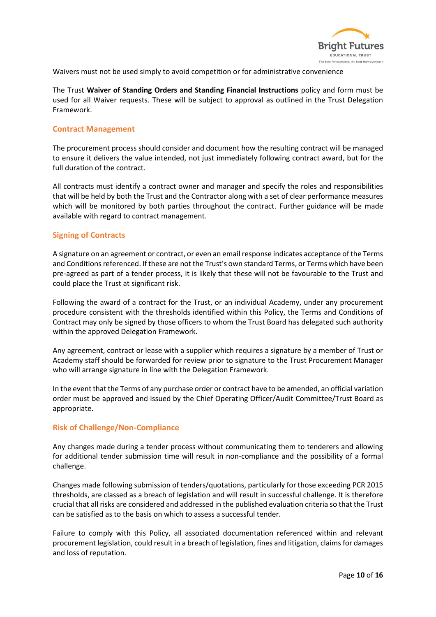

Waivers must not be used simply to avoid competition or for administrative convenience

The Trust **Waiver of Standing Orders and Standing Financial Instructions** policy and form must be used for all Waiver requests. These will be subject to approval as outlined in the Trust Delegation Framework.

#### **Contract Management**

The procurement process should consider and document how the resulting contract will be managed to ensure it delivers the value intended, not just immediately following contract award, but for the full duration of the contract.

All contracts must identify a contract owner and manager and specify the roles and responsibilities that will be held by both the Trust and the Contractor along with a set of clear performance measures which will be monitored by both parties throughout the contract. Further guidance will be made available with regard to contract management.

#### **Signing of Contracts**

A signature on an agreement or contract, or even an email response indicates acceptance of the Terms and Conditions referenced. If these are not the Trust's own standard Terms, or Terms which have been pre-agreed as part of a tender process, it is likely that these will not be favourable to the Trust and could place the Trust at significant risk.

Following the award of a contract for the Trust, or an individual Academy, under any procurement procedure consistent with the thresholds identified within this Policy, the Terms and Conditions of Contract may only be signed by those officers to whom the Trust Board has delegated such authority within the approved Delegation Framework.

Any agreement, contract or lease with a supplier which requires a signature by a member of Trust or Academy staff should be forwarded for review prior to signature to the Trust Procurement Manager who will arrange signature in line with the Delegation Framework.

In the event that the Terms of any purchase order or contract have to be amended, an official variation order must be approved and issued by the Chief Operating Officer/Audit Committee/Trust Board as appropriate.

#### **Risk of Challenge/Non-Compliance**

Any changes made during a tender process without communicating them to tenderers and allowing for additional tender submission time will result in non-compliance and the possibility of a formal challenge.

Changes made following submission of tenders/quotations, particularly for those exceeding PCR 2015 thresholds, are classed as a breach of legislation and will result in successful challenge. It is therefore crucial that all risks are considered and addressed in the published evaluation criteria so that the Trust can be satisfied as to the basis on which to assess a successful tender.

Failure to comply with this Policy, all associated documentation referenced within and relevant procurement legislation, could result in a breach of legislation, fines and litigation, claims for damages and loss of reputation.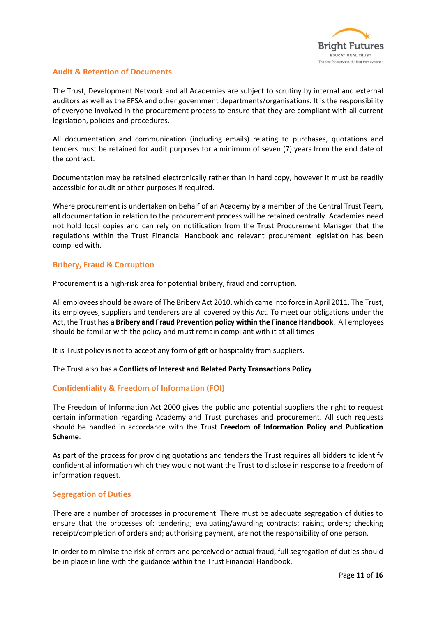

#### **Audit & Retention of Documents**

The Trust, Development Network and all Academies are subject to scrutiny by internal and external auditors as well as the EFSA and other government departments/organisations. It is the responsibility of everyone involved in the procurement process to ensure that they are compliant with all current legislation, policies and procedures.

All documentation and communication (including emails) relating to purchases, quotations and tenders must be retained for audit purposes for a minimum of seven (7) years from the end date of the contract.

Documentation may be retained electronically rather than in hard copy, however it must be readily accessible for audit or other purposes if required.

Where procurement is undertaken on behalf of an Academy by a member of the Central Trust Team, all documentation in relation to the procurement process will be retained centrally. Academies need not hold local copies and can rely on notification from the Trust Procurement Manager that the regulations within the Trust Financial Handbook and relevant procurement legislation has been complied with.

#### **Bribery, Fraud & Corruption**

Procurement is a high-risk area for potential bribery, fraud and corruption.

All employees should be aware of The Bribery Act 2010, which came into force in April 2011. The Trust, its employees, suppliers and tenderers are all covered by this Act. To meet our obligations under the Act, the Trust has a **Bribery and Fraud Prevention policy within the Finance Handbook**. All employees should be familiar with the policy and must remain compliant with it at all times

It is Trust policy is not to accept any form of gift or hospitality from suppliers.

The Trust also has a **Conflicts of Interest and Related Party Transactions Policy**.

#### **Confidentiality & Freedom of Information (FOI)**

The Freedom of Information Act 2000 gives the public and potential suppliers the right to request certain information regarding Academy and Trust purchases and procurement. All such requests should be handled in accordance with the Trust **Freedom of Information Policy and Publication Scheme**.

As part of the process for providing quotations and tenders the Trust requires all bidders to identify confidential information which they would not want the Trust to disclose in response to a freedom of information request.

#### **Segregation of Duties**

There are a number of processes in procurement. There must be adequate segregation of duties to ensure that the processes of: tendering; evaluating/awarding contracts; raising orders; checking receipt/completion of orders and; authorising payment, are not the responsibility of one person.

In order to minimise the risk of errors and perceived or actual fraud, full segregation of duties should be in place in line with the guidance within the Trust Financial Handbook.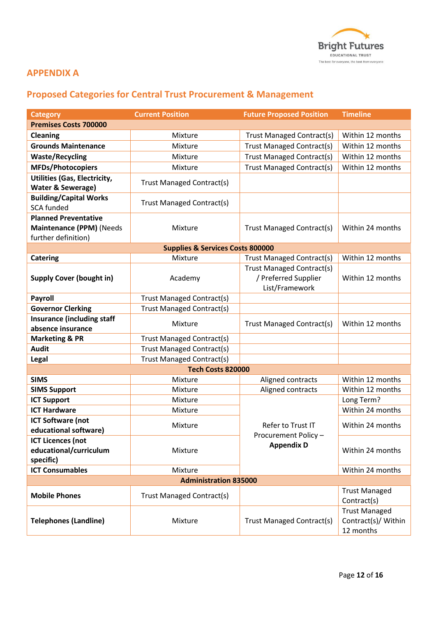

# **APPENDIX A**

# **Proposed Categories for Central Trust Procurement & Management**

| <b>Category</b>                                   | <b>Current Position</b>                     | <b>Future Proposed Position</b> | <b>Timeline</b>                      |  |  |
|---------------------------------------------------|---------------------------------------------|---------------------------------|--------------------------------------|--|--|
| <b>Premises Costs 700000</b>                      |                                             |                                 |                                      |  |  |
| <b>Cleaning</b>                                   | Mixture                                     | Trust Managed Contract(s)       | Within 12 months                     |  |  |
| <b>Grounds Maintenance</b>                        | Mixture                                     | Trust Managed Contract(s)       | Within 12 months                     |  |  |
| <b>Waste/Recycling</b>                            | Mixture                                     | Trust Managed Contract(s)       | Within 12 months                     |  |  |
| <b>MFDs/Photocopiers</b>                          | Mixture                                     | Trust Managed Contract(s)       | Within 12 months                     |  |  |
| <b>Utilities (Gas, Electricity,</b>               |                                             |                                 |                                      |  |  |
| <b>Water &amp; Sewerage)</b>                      | <b>Trust Managed Contract(s)</b>            |                                 |                                      |  |  |
| <b>Building/Capital Works</b>                     |                                             |                                 |                                      |  |  |
| <b>SCA funded</b>                                 | Trust Managed Contract(s)                   |                                 |                                      |  |  |
| <b>Planned Preventative</b>                       |                                             |                                 |                                      |  |  |
| Maintenance (PPM) (Needs                          | Mixture                                     | Trust Managed Contract(s)       | Within 24 months                     |  |  |
| further definition)                               |                                             |                                 |                                      |  |  |
|                                                   | <b>Supplies &amp; Services Costs 800000</b> |                                 |                                      |  |  |
| <b>Catering</b>                                   | Mixture                                     | Trust Managed Contract(s)       | Within 12 months                     |  |  |
|                                                   |                                             | Trust Managed Contract(s)       |                                      |  |  |
| <b>Supply Cover (bought in)</b>                   | Academy                                     | / Preferred Supplier            | Within 12 months                     |  |  |
|                                                   |                                             | List/Framework                  |                                      |  |  |
| <b>Payroll</b>                                    | <b>Trust Managed Contract(s)</b>            |                                 |                                      |  |  |
| <b>Governor Clerking</b>                          | <b>Trust Managed Contract(s)</b>            |                                 |                                      |  |  |
| <b>Insurance (including staff</b>                 | Mixture                                     | Trust Managed Contract(s)       | Within 12 months                     |  |  |
| absence insurance                                 |                                             |                                 |                                      |  |  |
| <b>Marketing &amp; PR</b>                         | Trust Managed Contract(s)                   |                                 |                                      |  |  |
| <b>Audit</b>                                      | <b>Trust Managed Contract(s)</b>            |                                 |                                      |  |  |
| <b>Legal</b>                                      | <b>Trust Managed Contract(s)</b>            |                                 |                                      |  |  |
| Tech Costs 820000                                 |                                             |                                 |                                      |  |  |
| <b>SIMS</b>                                       | Mixture                                     | Aligned contracts               | Within 12 months<br>Within 12 months |  |  |
| <b>SIMS Support</b>                               | Mixture<br>Mixture                          | Aligned contracts               | Long Term?                           |  |  |
| <b>ICT Support</b><br><b>ICT Hardware</b>         |                                             |                                 | Within 24 months                     |  |  |
|                                                   | Mixture                                     |                                 |                                      |  |  |
| <b>ICT Software (not</b><br>educational software) | Mixture                                     | Refer to Trust IT               | Within 24 months                     |  |  |
| <b>ICT Licences (not</b>                          |                                             | Procurement Policy -            |                                      |  |  |
| educational/curriculum                            | Mixture                                     | <b>Appendix D</b>               | Within 24 months                     |  |  |
| specific)                                         |                                             |                                 |                                      |  |  |
| <b>ICT Consumables</b>                            | Mixture                                     |                                 | Within 24 months                     |  |  |
| <b>Administration 835000</b>                      |                                             |                                 |                                      |  |  |
|                                                   |                                             |                                 | <b>Trust Managed</b>                 |  |  |
| <b>Mobile Phones</b>                              | <b>Trust Managed Contract(s)</b>            |                                 | Contract(s)                          |  |  |
|                                                   |                                             |                                 | <b>Trust Managed</b>                 |  |  |
| <b>Telephones (Landline)</b><br>Mixture           |                                             | Trust Managed Contract(s)       | Contract(s)/ Within<br>12 months     |  |  |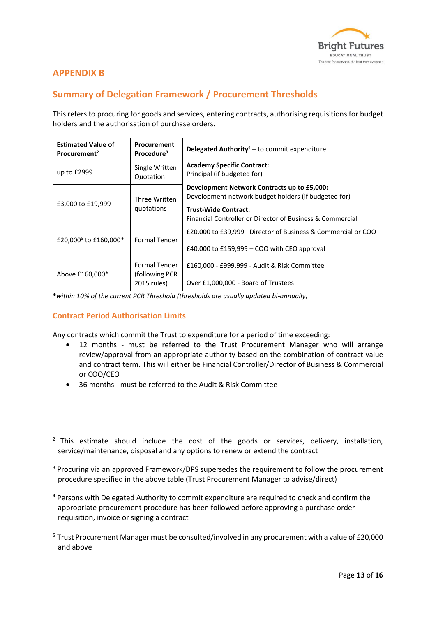

# **APPENDIX B**

# **Summary of Delegation Framework / Procurement Thresholds**

This refers to procuring for goods and services, entering contracts, authorising requisitions for budget holders and the authorisation of purchase orders.

| <b>Estimated Value of</b><br>Procurement <sup>2</sup> | Procurement<br>Procedure <sup>3</sup>                  | <b>Delegated Authority</b> <sup>4</sup> – to commit expenditure                                                                                                                                 |
|-------------------------------------------------------|--------------------------------------------------------|-------------------------------------------------------------------------------------------------------------------------------------------------------------------------------------------------|
| up to £2999                                           | Single Written<br>Quotation                            | <b>Academy Specific Contract:</b><br>Principal (if budgeted for)                                                                                                                                |
| £3,000 to £19,999                                     | Three Written<br>quotations                            | Development Network Contracts up to £5,000:<br>Development network budget holders (if budgeted for)<br><b>Trust-Wide Contract:</b><br>Financial Controller or Director of Business & Commercial |
| £20,000 <sup>5</sup> to £160,000 <sup>*</sup>         | <b>Formal Tender</b>                                   | £20,000 to £39,999 – Director of Business & Commercial or COO                                                                                                                                   |
|                                                       |                                                        | £40,000 to £159,999 – COO with CEO approval                                                                                                                                                     |
| Above £160,000*                                       | <b>Formal Tender</b><br>(following PCR)<br>2015 rules) | £160,000 - £999,999 - Audit & Risk Committee                                                                                                                                                    |
|                                                       |                                                        | Over £1,000,000 - Board of Trustees                                                                                                                                                             |

**\****within 10% of the current PCR Threshold (thresholds are usually updated bi-annually)* 

#### **Contract Period Authorisation Limits**

Any contracts which commit the Trust to expenditure for a period of time exceeding:

- 12 months must be referred to the Trust Procurement Manager who will arrange review/approval from an appropriate authority based on the combination of contract value and contract term. This will either be Financial Controller/Director of Business & Commercial or COO/CEO
- 36 months must be referred to the Audit & Risk Committee

- <sup>3</sup> Procuring via an approved Framework/DPS supersedes the requirement to follow the procurement procedure specified in the above table (Trust Procurement Manager to advise/direct)
- <sup>4</sup> Persons with Delegated Authority to commit expenditure are required to check and confirm the appropriate procurement procedure has been followed before approving a purchase order requisition, invoice or signing a contract
- <sup>5</sup> Trust Procurement Manager must be consulted/involved in any procurement with a value of £20,000 and above

 $2$  This estimate should include the cost of the goods or services, delivery, installation, service/maintenance, disposal and any options to renew or extend the contract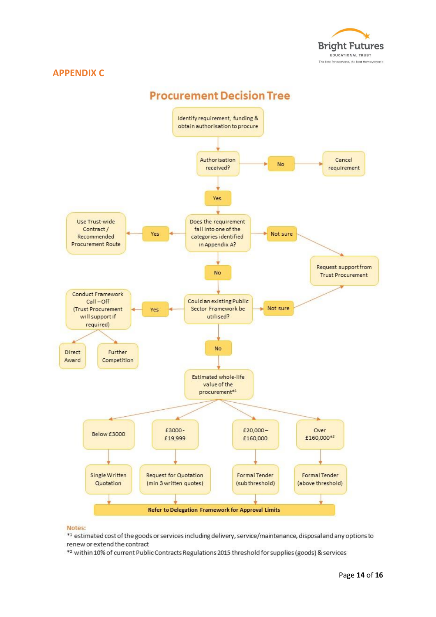

#### **APPENDIX C**



#### Notes:

\*1 estimated cost of the goods or services including delivery, service/maintenance, disposal and any options to renew or extend the contract

\*2 within 10% of current Public Contracts Regulations 2015 threshold for supplies (goods) & services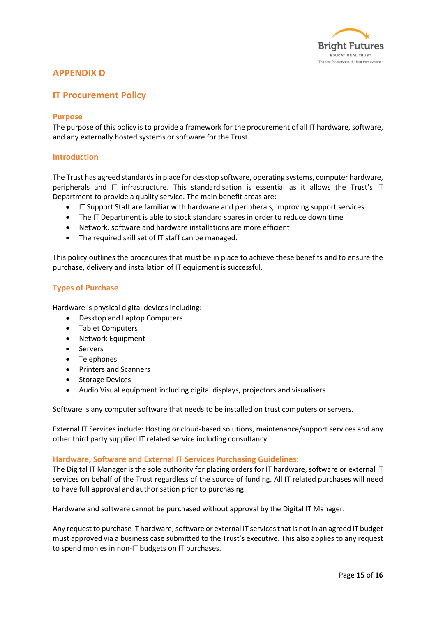

# **APPENDIX D**

# **IT Procurement Policy**

#### **Purpose**

The purpose of this policy is to provide a framework for the procurement of all IT hardware, software, and any externally hosted systems or software for the Trust.

#### **Introduction**

The Trust has agreed standards in place for desktop software, operating systems, computer hardware, peripherals and IT infrastructure. This standardisation is essential as it allows the Trust's IT Department to provide a quality service. The main benefit areas are:

- IT Support Staff are familiar with hardware and peripherals, improving support services
- The IT Department is able to stock standard spares in order to reduce down time
- Network, software and hardware installations are more efficient
- The required skill set of IT staff can be managed.

This policy outlines the procedures that must be in place to achieve these benefits and to ensure the purchase, delivery and installation of IT equipment is successful.

#### **Types of Purchase**

Hardware is physical digital devices including:

- Desktop and Laptop Computers
- Tablet Computers
- Network Equipment
- Servers
- Telephones
- Printers and Scanners
- Storage Devices
- Audio Visual equipment including digital displays, projectors and visualisers

Software is any computer software that needs to be installed on trust computers or servers.

External IT Services include: Hosting or cloud-based solutions, maintenance/support services and any other third party supplied IT related service including consultancy.

#### **Hardware, Software and External IT Services Purchasing Guidelines:**

The Digital IT Manager is the sole authority for placing orders for IT hardware, software or external IT services on behalf of the Trust regardless of the source of funding. All IT related purchases will need to have full approval and authorisation prior to purchasing.

Hardware and software cannot be purchased without approval by the Digital IT Manager.

Any request to purchase IT hardware, software or external IT services that is not in an agreed IT budget must approved via a business case submitted to the Trust's executive. This also applies to any request to spend monies in non-IT budgets on IT purchases.